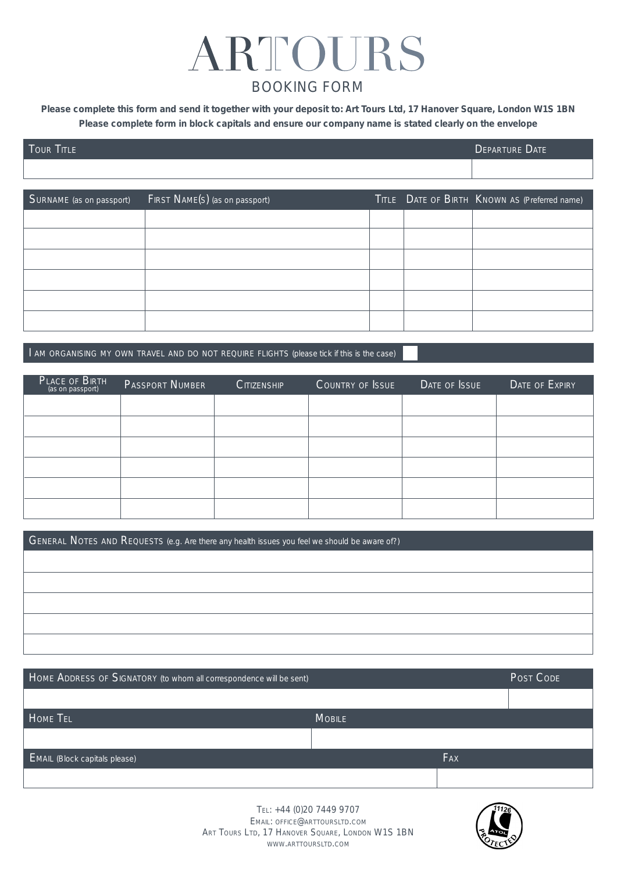# ARTOURS BOOKING FORM

# **Please complete this form and send it together with your deposit to: Art Tours Ltd, 17 Hanover Square, London W1S 1BN**

**Please complete form in block capitals and ensure our company name is stated clearly on the envelope**

| --<br>—<br>lour litle | DEPARTURE DATE |
|-----------------------|----------------|
|                       |                |

| SURNAME (as on passport) | FIRST NAME(S) (as on passport) |  | TITLE DATE OF BIRTH KNOWN AS (Preferred name) |
|--------------------------|--------------------------------|--|-----------------------------------------------|
|                          |                                |  |                                               |
|                          |                                |  |                                               |
|                          |                                |  |                                               |
|                          |                                |  |                                               |
|                          |                                |  |                                               |
|                          |                                |  |                                               |

I AM ORGANISING MY OWN TRAVEL AND DO NOT REQUIRE FLIGHTS (please tick if this is the case)

| PLACE OF BIRTH<br>(as on passport) | <b>PASSPORT NUMBER</b> | <b>CITIZENSHIP</b> | COUNTRY OF ISSUE | DATE OF ISSUE | DATE OF EXPIRY |
|------------------------------------|------------------------|--------------------|------------------|---------------|----------------|
|                                    |                        |                    |                  |               |                |
|                                    |                        |                    |                  |               |                |
|                                    |                        |                    |                  |               |                |
|                                    |                        |                    |                  |               |                |
|                                    |                        |                    |                  |               |                |
|                                    |                        |                    |                  |               |                |

| GENERAL NOTES AND REQUESTS (e.g. Are there any health issues you feel we should be aware of?) |  |  |  |
|-----------------------------------------------------------------------------------------------|--|--|--|
|                                                                                               |  |  |  |
|                                                                                               |  |  |  |
|                                                                                               |  |  |  |
|                                                                                               |  |  |  |
|                                                                                               |  |  |  |

| HOME ADDRESS OF SIGNATORY (to whom all correspondence will be sent) |               |                 | POST CODE |
|---------------------------------------------------------------------|---------------|-----------------|-----------|
|                                                                     |               |                 |           |
| HOME TEL                                                            | <b>MOBILE</b> |                 |           |
|                                                                     |               |                 |           |
| <b>EMAIL (Block capitals please)</b>                                |               | F <sub>AX</sub> |           |
|                                                                     |               |                 |           |



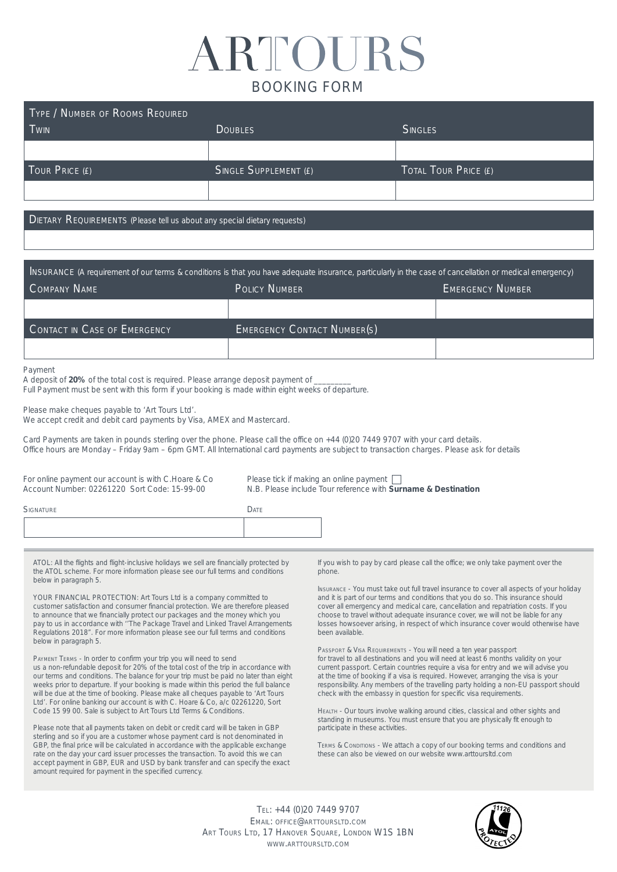# ARTOURS BOOKING FORM

| TYPE / NUMBER OF ROOMS REQUIRED |                       |                      |
|---------------------------------|-----------------------|----------------------|
| Twin                            | <b>DOUBLES</b>        | <b>SINGLES</b>       |
|                                 |                       |                      |
| TOUR PRICE (E)                  | SINGLE SUPPLEMENT (E) | TOTAL TOUR PRICE (E) |
|                                 |                       |                      |

DIEtARY REQUIREMENtS (Please tell us about any special dietary requests)

| INSURANCE (A requirement of our terms & conditions is that you have adequate insurance, particularly in the case of cancellation or medical emergency) |                                    |                         |  |
|--------------------------------------------------------------------------------------------------------------------------------------------------------|------------------------------------|-------------------------|--|
| COMPANY NAME                                                                                                                                           | <b>POLICY NUMBER</b>               | <b>FMERGENCY NUMBER</b> |  |
|                                                                                                                                                        |                                    |                         |  |
| <b>CONTACT IN CASE OF EMERGENCY</b>                                                                                                                    | <b>EMERGENCY CONTACT NUMBER(S)</b> |                         |  |
|                                                                                                                                                        |                                    |                         |  |

Payment

A deposit of 20% of the total cost is required. Please arrange deposit payment of

Full Payment must be sent with this form if your booking is made within eight weeks of departure.

Please make cheques payable to 'Art Tours Ltd'.

We accept credit and debit card payments by Visa, AMEX and Mastercard.

Card Payments are taken in pounds sterling over the phone. Please call the office on +44 (0)20 7449 9707 with your card details. Office hours are Monday – Friday 9am – 6pm GMT. All International card payments are subject to transaction charges. Please ask for details

For online payment our account is with C.Hoare & Co<br>  $\overline{C}$  Please tick if making an online payment  $\overline{C}$ <br>
Account Number: 02261220 Sort Code: 15-99-00  $\overline{C}$  N.B. Please include Tour reference with Sur

N.B. Please include Tour reference with **Surname & Destination** 

SIGNATURE DATE

ATOL: All the flights and flight-inclusive holidays we sell are financially protected by the ATOL scheme. For more information please see our full terms and conditions below in paragraph 5.

YOUR FINANCIAL PROTECTION: Art Tours Ltd is a company committed to customer satisfaction and consumer financial protection. We are therefore pleased to announce that we financially protect our packages and the money which you pay to us in accordance with ''The Package Travel and Linked Travel Arrangements Regulations 2018''. For more information please see our full terms and conditions below in paragraph 5.

PAYMENt TERMS - In order to confirm your trip you will need to send us a non-refundable deposit for 20% of the total cost of the trip in accordance with our terms and conditions. The balance for your trip must be paid no later than eight weeks prior to departure. If your booking is made within this period the full balance will be due at the time of booking. Please make all cheques payable to 'Art Tours Ltd'. For online banking our account is with C. Hoare & Co, a/c 02261220, Sort Code 15 99 00. Sale is subject to Art Tours Ltd Terms & Conditions.

Please note that all payments taken on debit or credit card will be taken in GBP sterling and so if you are a customer whose payment card is not denominated in GBP, the final price will be calculated in accordance with the applicable exchange rate on the day your card issuer processes the transaction. To avoid this we can accept payment in GBP, EUR and USD by bank transfer and can specify the exact amount required for payment in the specified currency.

If you wish to pay by card please call the office; we only take payment over the phone.

INSURANCE - You must take out full travel insurance to cover all aspects of your holiday and it is part of our terms and conditions that you do so. This insurance should cover all emergency and medical care, cancellation and repatriation costs. If you choose to travel without adequate insurance cover, we will not be liable for any losses howsoever arising, in respect of which insurance cover would otherwise have been available.

PASSPORT & VISA REQUIREMENTS - You will need a ten year passport for travel to all destinations and you will need at least 6 months validity on your current passport. Certain countries require a visa for entry and we will advise you at the time of booking if a visa is required. However, arranging the visa is your responsibility. Any members of the travelling party holding a non-EU passport should check with the embassy in question for specific visa requirements.

HEALTH - Our tours involve walking around cities, classical and other sights and standing in museums. You must ensure that you are physically fit enough to participate in these activities.

TERMS & CONDItIONS - We attach a copy of our booking terms and conditions and these can also be viewed on our website www.arttoursltd.com

TEL: +44 (0)20 7449 9707 EMAIL: OFFICE@ARttOURSLtD.COM ART TOURS LTD, 17 HANOVER SOUARE, LONDON W1S 1BN www.ARttOURSLtD.COM

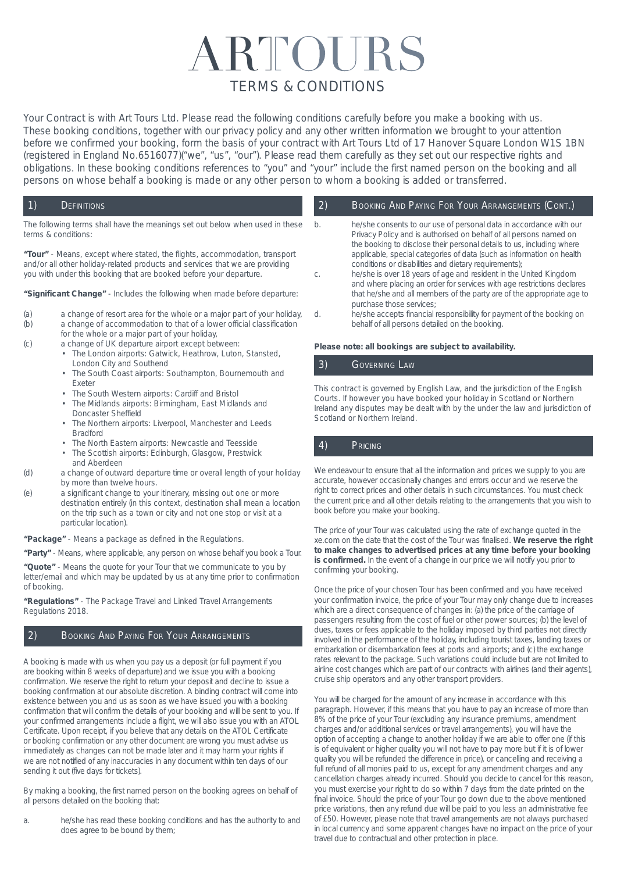Your Contract is with Art Tours Ltd. Please read the following conditions carefully before you make a booking with us. These booking conditions, together with our privacy policy and any other written information we brought to your attention before we confirmed your booking, form the basis of your contract with Art Tours Ltd of 17 Hanover Square London W1S 1BN (registered in England No.6516077)("we", "us", "our"). Please read them carefully as they set out our respective rights and obligations. In these booking conditions references to "you" and "your" include the first named person on the booking and all persons on whose behalf a booking is made or any other person to whom a booking is added or transferred.

# 1) DEFINITIONS

The following terms shall have the meanings set out below when used in these terms & conditions:

**"Tour"** - Means, except where stated, the flights, accommodation, transport and/or all other holiday-related products and services that we are providing you with under this booking that are booked before your departure.

**"Significant Change"** - Includes the following when made before departure:

- (a) a change of resort area for the whole or a major part of your holiday,
- (b) a change of accommodation to that of a lower official classification
- for the whole or a major part of your holiday, (c) a change of UK departure airport except between:
	- The London airports: Gatwick, Heathrow, Luton, Stansted, London City and Southend
	- The South Coast airports: Southampton, Bournemouth and Exeter
	- The South Western airports: Cardiff and Bristol
	- The Midlands airports: Birmingham, East Midlands and Doncaster Sheffield
	- The Northern airports: Liverpool, Manchester and Leeds Bradford
	- The North Eastern airports: Newcastle and Teesside
	- The Scottish airports: Edinburgh, Glasgow, Prestwick and Aberdeen
- (d) a change of outward departure time or overall length of your holiday by more than twelve hours.
- (e) a significant change to your itinerary, missing out one or more destination entirely (in this context, destination shall mean a location on the trip such as a town or city and not one stop or visit at a particular location).

**"Package"** - Means a package as defined in the Regulations.

**"Party"** - Means, where applicable, any person on whose behalf you book a Tour.

**"Quote"** - Means the quote for your Tour that we communicate to you by letter/email and which may be updated by us at any time prior to confirmation of booking.

**"Regulations"** - The Package Travel and Linked Travel Arrangements Regulations 2018.

# 2) BOOKING AND PAYING FOR YOUR ARRANGEMENTS

A booking is made with us when you pay us a deposit (or full payment if you are booking within 8 weeks of departure) and we issue you with a booking confirmation. We reserve the right to return your deposit and decline to issue a booking confirmation at our absolute discretion. A binding contract will come into existence between you and us as soon as we have issued you with a booking confirmation that will confirm the details of your booking and will be sent to you. If your confirmed arrangements include a flight, we will also issue you with an ATOL Certificate. Upon receipt, if you believe that any details on the ATOL Certificate or booking confirmation or any other document are wrong you must advise us immediately as changes can not be made later and it may harm your rights if we are not notified of any inaccuracies in any document within ten days of our sending it out (five days for tickets).

By making a booking, the first named person on the booking agrees on behalf of all persons detailed on the booking that:

a. he/she has read these booking conditions and has the authority to and does agree to be bound by them;

### 2) BOOKING AND PAYING FOR YOUR ARRANGEMENTS (CONT.)

- b. he/she consents to our use of personal data in accordance with our Privacy Policy and is authorised on behalf of all persons named on the booking to disclose their personal details to us, including where applicable, special categories of data (such as information on health conditions or disabilities and dietary requirements);
- c. he/she is over 18 years of age and resident in the United Kingdom and where placing an order for services with age restrictions declares that he/she and all members of the party are of the appropriate age to purchase those services;
- d. he/she accepts financial responsibility for payment of the booking on behalf of all persons detailed on the booking.

#### **Please note: all bookings are subject to availability.**

#### 3) GOVERNINg LAw

This contract is governed by English Law, and the jurisdiction of the English Courts. If however you have booked your holiday in Scotland or Northern Ireland any disputes may be dealt with by the under the law and jurisdiction of Scotland or Northern Ireland.

#### 4) PRICINg

We endeavour to ensure that all the information and prices we supply to you are accurate, however occasionally changes and errors occur and we reserve the right to correct prices and other details in such circumstances. You must check the current price and all other details relating to the arrangements that you wish to book before you make your booking.

The price of your Tour was calculated using the rate of exchange quoted in the xe.com on the date that the cost of the Tour was finalised. **We reserve the right to make changes to advertised prices at any time before your booking**  is confirmed. In the event of a change in our price we will notify you prior to confirming your booking.

Once the price of your chosen Tour has been confirmed and you have received your confirmation invoice, the price of your Tour may only change due to increases which are a direct consequence of changes in: (a) the price of the carriage of passengers resulting from the cost of fuel or other power sources; (b) the level of dues, taxes or fees applicable to the holiday imposed by third parties not directly involved in the performance of the holiday, including tourist taxes, landing taxes or embarkation or disembarkation fees at ports and airports; and (c) the exchange rates relevant to the package. Such variations could include but are not limited to airline cost changes which are part of our contracts with airlines (and their agents), cruise ship operators and any other transport providers.

You will be charged for the amount of any increase in accordance with this paragraph. However, if this means that you have to pay an increase of more than 8% of the price of your Tour (excluding any insurance premiums, amendment charges and/or additional services or travel arrangements), you will have the option of accepting a change to another holiday if we are able to offer one (if this is of equivalent or higher quality you will not have to pay more but if it is of lower quality you will be refunded the difference in price), or cancelling and receiving a full refund of all monies paid to us, except for any amendment charges and any cancellation charges already incurred. Should you decide to cancel for this reason, you must exercise your right to do so within 7 days from the date printed on the final invoice. Should the price of your Tour go down due to the above mentioned price variations, then any refund due will be paid to you less an administrative fee of £50. However, please note that travel arrangements are not always purchased in local currency and some apparent changes have no impact on the price of your travel due to contractual and other protection in place.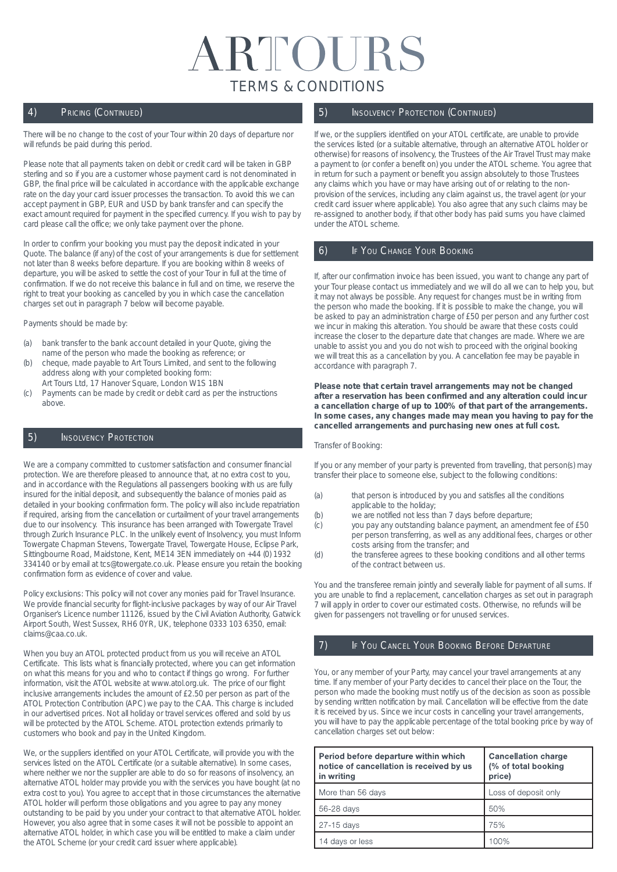# 4) PRICINg (CONtINUED)

There will be no change to the cost of your Tour within 20 days of departure nor will refunds be paid during this period.

Please note that all payments taken on debit or credit card will be taken in GBP sterling and so if you are a customer whose payment card is not denominated in GBP, the final price will be calculated in accordance with the applicable exchange rate on the day your card issuer processes the transaction. To avoid this we can accept payment in GBP, EUR and USD by bank transfer and can specify the exact amount required for payment in the specified currency. If you wish to pay by card please call the office; we only take payment over the phone.

In order to confirm your booking you must pay the deposit indicated in your Quote. The balance (if any) of the cost of your arrangements is due for settlement not later than 8 weeks before departure. If you are booking within 8 weeks of departure, you will be asked to settle the cost of your Tour in full at the time of confirmation. If we do not receive this balance in full and on time, we reserve the right to treat your booking as cancelled by you in which case the cancellation charges set out in paragraph 7 below will become payable.

Payments should be made by:

- (a) bank transfer to the bank account detailed in your Quote, giving the name of the person who made the booking as reference; or
- (b) cheque, made payable to Art Tours Limited, and sent to the following address along with your completed booking form: Art Tours Ltd, 17 Hanover Square, London W1S 1BN
- (c) Payments can be made by credit or debit card as per the instructions above.

# 5) **INSOLVENCY PROTECTION**

We are a company committed to customer satisfaction and consumer financial protection. We are therefore pleased to announce that, at no extra cost to you, and in accordance with the Regulations all passengers booking with us are fully insured for the initial deposit, and subsequently the balance of monies paid as detailed in your booking confirmation form. The policy will also include repatriation if required, arising from the cancellation or curtailment of your travel arrangements due to our insolvency. This insurance has been arranged with Towergate Travel through Zurich Insurance PLC. In the unlikely event of Insolvency, you must Inform Towergate Chapman Stevens, Towergate Travel, Towergate House, Eclipse Park, Sittingbourne Road, Maidstone, Kent, ME14 3EN immediately on +44 (0) 1932 334140 or by email at tcs@towergate.co.uk. Please ensure you retain the booking confirmation form as evidence of cover and value.

Policy exclusions: This policy will not cover any monies paid for Travel Insurance. We provide financial security for flight-inclusive packages by way of our Air Travel Organiser's Licence number 11126, issued by the Civil Aviation Authority, Gatwick Airport South, West Sussex, RH6 0YR, UK, telephone 0333 103 6350, email: claims@caa.co.uk.

When you buy an ATOL protected product from us you will receive an ATOL Certificate. This lists what is financially protected, where you can get information on what this means for you and who to contact if things go wrong. For further information, visit the ATOL website at www.atol.org.uk. The price of our flight inclusive arrangements includes the amount of £2.50 per person as part of the ATOL Protection Contribution (APC) we pay to the CAA. This charge is included in our advertised prices. Not all holiday or travel services offered and sold by us will be protected by the ATOL Scheme. ATOL protection extends primarily to customers who book and pay in the United Kingdom.

We, or the suppliers identified on your ATOL Certificate, will provide you with the services listed on the ATOL Certificate (or a suitable alternative). In some cases, where neither we nor the supplier are able to do so for reasons of insolvency, an alternative ATOL holder may provide you with the services you have bought (at no extra cost to you). You agree to accept that in those circumstances the alternative ATOL holder will perform those obligations and you agree to pay any money outstanding to be paid by you under your contract to that alternative ATOL holder. However, you also agree that in some cases it will not be possible to appoint an alternative ATOL holder, in which case you will be entitled to make a claim under the ATOL Scheme (or your credit card issuer where applicable).

### 5) INSOLVENCY PROTECTION (CONTINUED)

If we, or the suppliers identified on your ATOL certificate, are unable to provide the services listed (or a suitable alternative, through an alternative ATOL holder or otherwise) for reasons of insolvency, the Trustees of the Air Travel Trust may make a payment to (or confer a benefit on) you under the ATOL scheme. You agree that in return for such a payment or benefit you assign absolutely to those Trustees any claims which you have or may have arising out of or relating to the nonprovision of the services, including any claim against us, the travel agent (or your credit card issuer where applicable). You also agree that any such claims may be re-assigned to another body, if that other body has paid sums you have claimed under the ATOL scheme.

### 6) IF YOU CHANGE YOUR BOOKING

If, after our confirmation invoice has been issued, you want to change any part of your Tour please contact us immediately and we will do all we can to help you, but it may not always be possible. Any request for changes must be in writing from the person who made the booking. If it is possible to make the change, you will be asked to pay an administration charge of £50 per person and any further cost we incur in making this alteration. You should be aware that these costs could increase the closer to the departure date that changes are made. Where we are unable to assist you and you do not wish to proceed with the original booking we will treat this as a cancellation by you. A cancellation fee may be payable in accordance with paragraph 7.

#### **Please note that certain travel arrangements may not be changed after a reservation has been confirmed and any alteration could incur a cancellation charge of up to 100% of that part of the arrangements. In some cases, any changes made may mean you having to pay for the cancelled arrangements and purchasing new ones at full cost.**

#### Transfer of Booking:

If you or any member of your party is prevented from travelling, that person(s) may transfer their place to someone else, subject to the following conditions:

- (a) that person is introduced by you and satisfies all the conditions applicable to the holiday;
- (b) we are notified not less than 7 days before departure;
- (c) you pay any outstanding balance payment, an amendment fee of £50 per person transferring, as well as any additional fees, charges or other costs arising from the transfer; and
- (d) the transferee agrees to these booking conditions and all other terms of the contract between us.

You and the transferee remain jointly and severally liable for payment of all sums. If you are unable to find a replacement, cancellation charges as set out in paragraph 7 will apply in order to cover our estimated costs. Otherwise, no refunds will be given for passengers not travelling or for unused services.

# 7) IF YOU CANCEL YOUR BOOKING BEFORE DEPARTURE

You, or any member of your Party, may cancel your travel arrangements at any time. If any member of your Party decides to cancel their place on the Tour, the person who made the booking must notify us of the decision as soon as possible by sending written notification by mail. Cancellation will be effective from the date it is received by us. Since we incur costs in cancelling your travel arrangements, you will have to pay the applicable percentage of the total booking price by way of cancellation charges set out below:

| Period before departure within which<br>notice of cancellation is received by us<br>in writing | <b>Cancellation charge</b><br>(% of total booking<br>price) |
|------------------------------------------------------------------------------------------------|-------------------------------------------------------------|
| More than 56 days                                                                              | Loss of deposit only                                        |
| 56-28 days                                                                                     | 50%                                                         |
| 27-15 days                                                                                     | 75%                                                         |
| 14 days or less                                                                                | 100%                                                        |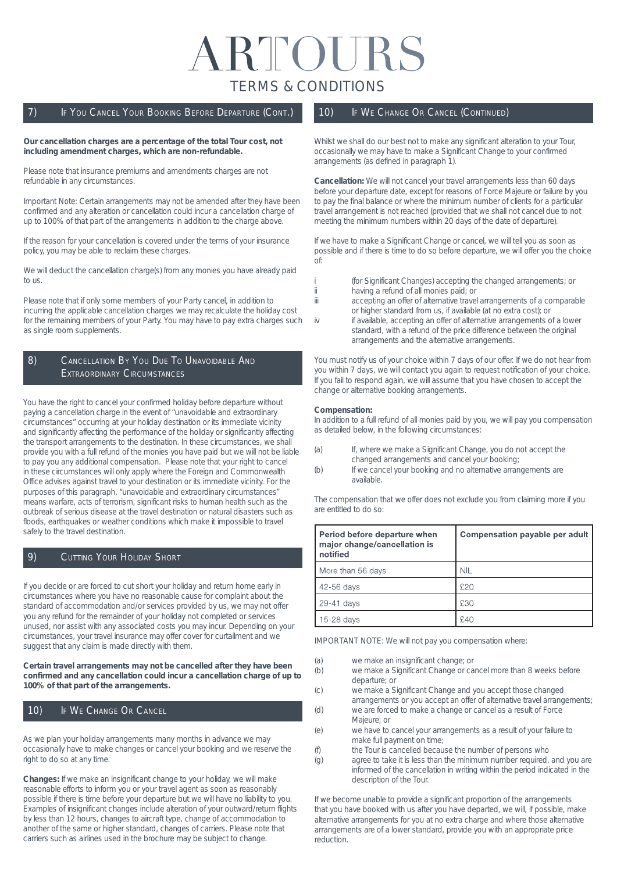### 7) IF YOU CANCEL YOUR BOOKING BEFORE DEPARTURE (CONT.)

#### **Our cancellation charges are a percentage of the total Tour cost, not including amendment charges, which are non-refundable.**

Please note that insurance premiums and amendments charges are not refundable in any circumstances.

Important Note: Certain arrangements may not be amended after they have been confirmed and any alteration or cancellation could incur a cancellation charge of up to 100% of that part of the arrangements in addition to the charge above.

If the reason for your cancellation is covered under the terms of your insurance policy, you may be able to reclaim these charges.

We will deduct the cancellation charge(s) from any monies you have already paid to us.

Please note that if only some members of your Party cancel, in addition to incurring the applicable cancellation charges we may recalculate the holiday cost for the remaining members of your Party. You may have to pay extra charges such as single room supplements.

### 8) CANCELLATION BY YOU DUE TO UNAVOIDABLE AND EXtRAORDINARY CIRCUMStANCES

You have the right to cancel your confirmed holiday before departure without paying a cancellation charge in the event of "unavoidable and extraordinary circumstances" occurring at your holiday destination or its immediate vicinity and significantly affecting the performance of the holiday or significantly affecting the transport arrangements to the destination. In these circumstances, we shall provide you with a full refund of the monies you have paid but we will not be liable to pay you any additional compensation. Please note that your right to cancel in these circumstances will only apply where the Foreign and Commonwealth Office advises against travel to your destination or its immediate vicinity. For the purposes of this paragraph, "unavoidable and extraordinary circumstances" means warfare, acts of terrorism, significant risks to human health such as the outbreak of serious disease at the travel destination or natural disasters such as floods, earthquakes or weather conditions which make it impossible to travel safely to the travel destination.

# 9) CUTTING YOUR HOLIDAY SHORT

If you decide or are forced to cut short your holiday and return home early in circumstances where you have no reasonable cause for complaint about the standard of accommodation and/or services provided by us, we may not offer you any refund for the remainder of your holiday not completed or services unused, nor assist with any associated costs you may incur. Depending on your circumstances, your travel insurance may offer cover for curtailment and we suggest that any claim is made directly with them.

**Certain travel arrangements may not be cancelled after they have been confirmed and any cancellation could incur a cancellation charge of up to 100% of that part of the arrangements.**

### 10) IF WE CHANGE OR CANCEL

As we plan your holiday arrangements many months in advance we may occasionally have to make changes or cancel your booking and we reserve the right to do so at any time.

**Changes:** If we make an insignificant change to your holiday, we will make reasonable efforts to inform you or your travel agent as soon as reasonably possible if there is time before your departure but we will have no liability to you. Examples of insignificant changes include alteration of your outward/return flights by less than 12 hours, changes to aircraft type, change of accommodation to another of the same or higher standard, changes of carriers. Please note that carriers such as airlines used in the brochure may be subject to change.

#### 10) IF WE CHANGE OR CANCEL (CONTINUED)

Whilst we shall do our best not to make any significant alteration to your Tour, occasionally we may have to make a Significant Change to your confirmed arrangements (as defined in paragraph 1).

**Cancellation:** We will not cancel your travel arrangements less than 60 days before your departure date, except for reasons of Force Majeure or failure by you to pay the final balance or where the minimum number of clients for a particular travel arrangement is not reached (provided that we shall not cancel due to not meeting the minimum numbers within 20 days of the date of departure).

If we have to make a Significant Change or cancel, we will tell you as soon as possible and if there is time to do so before departure, we will offer you the choice of:

- i (for Significant Changes) accepting the changed arrangements; or<br>ii having a refund of all monies paid; or
- ii having a refund of all monies paid; or<br>iii accepting an offer of alternative trave
- accepting an offer of alternative travel arrangements of a comparable or higher standard from us, if available (at no extra cost); or
- iv if available, accepting an offer of alternative arrangements of a lower standard, with a refund of the price difference between the original arrangements and the alternative arrangements.

You must notify us of your choice within 7 days of our offer. If we do not hear from you within 7 days, we will contact you again to request notification of your choice. If you fail to respond again, we will assume that you have chosen to accept the change or alternative booking arrangements.

#### **Compensation:**

In addition to a full refund of all monies paid by you, we will pay you compensation as detailed below, in the following circumstances:

- (a) If, where we make a Significant Change, you do not accept the changed arrangements and cancel your booking;
- (b) If we cancel your booking and no alternative arrangements are available.

The compensation that we offer does not exclude you from claiming more if you are entitled to do so:

| Period before departure when<br>major change/cancellation is<br>notified | Compensation payable per adult |
|--------------------------------------------------------------------------|--------------------------------|
| More than 56 days                                                        | <b>NIL</b>                     |
| 42-56 days                                                               | £20                            |
| 29-41 days                                                               | £30                            |
| 15-28 days                                                               | £40                            |

IMPORTANT NOTE: We will not pay you compensation where:

- (a) we make an insignificant change; or
- (b) we make a Significant Change or cancel more than 8 weeks before departure; or
- (c) we make a Significant Change and you accept those changed arrangements or you accept an offer of alternative travel arrangements;
- (d) we are forced to make a change or cancel as a result of Force Majeure; or
- (e) we have to cancel your arrangements as a result of your failure to make full payment on time;
- (f) the Tour is cancelled because the number of persons who
- (g) agree to take it is less than the minimum number required, and you are informed of the cancellation in writing within the period indicated in the description of the Tour.

If we become unable to provide a significant proportion of the arrangements that you have booked with us after you have departed, we will, if possible, make alternative arrangements for you at no extra charge and where those alternative arrangements are of a lower standard, provide you with an appropriate price reduction.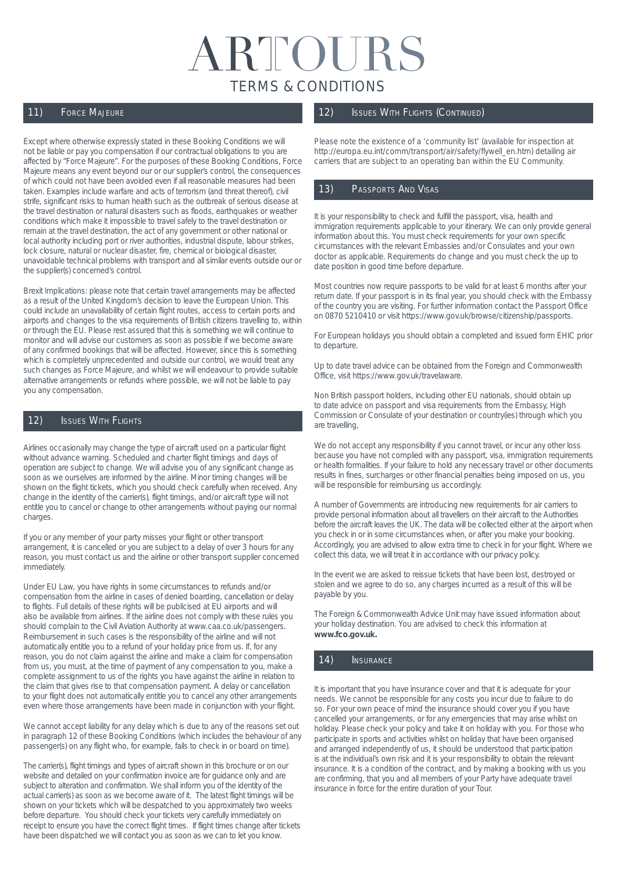#### 11) FORCE MAJEURE

Except where otherwise expressly stated in these Booking Conditions we will not be liable or pay you compensation if our contractual obligations to you are affected by "Force Majeure". For the purposes of these Booking Conditions, Force Majeure means any event beyond our or our supplier's control, the consequences of which could not have been avoided even if all reasonable measures had been taken. Examples include warfare and acts of terrorism (and threat thereof), civil strife, significant risks to human health such as the outbreak of serious disease at the travel destination or natural disasters such as floods, earthquakes or weather conditions which make it impossible to travel safely to the travel destination or remain at the travel destination, the act of any government or other national or local authority including port or river authorities, industrial dispute, labour strikes, lock closure, natural or nuclear disaster, fire, chemical or biological disaster, unavoidable technical problems with transport and all similar events outside our or the supplier(s) concerned's control.

Brexit Implications: please note that certain travel arrangements may be affected as a result of the United Kingdom's decision to leave the European Union. This could include an unavailability of certain flight routes, access to certain ports and airports and changes to the visa requirements of British citizens travelling to, within or through the EU. Please rest assured that this is something we will continue to monitor and will advise our customers as soon as possible if we become aware of any confirmed bookings that will be affected. However, since this is something which is completely unprecedented and outside our control, we would treat any such changes as Force Majeure, and whilst we will endeavour to provide suitable alternative arrangements or refunds where possible, we will not be liable to pay you any compensation.

### 12) Issues WITH FLIGHTS

Airlines occasionally may change the type of aircraft used on a particular flight without advance warning. Scheduled and charter flight timings and days of operation are subject to change. We will advise you of any significant change as soon as we ourselves are informed by the airline. Minor timing changes will be shown on the flight tickets, which you should check carefully when received. Any change in the identity of the carrier(s), flight timings, and/or aircraft type will not entitle you to cancel or change to other arrangements without paying our normal charges.

If you or any member of your party misses your flight or other transport arrangement, it is cancelled or you are subject to a delay of over 3 hours for any reason, you must contact us and the airline or other transport supplier concerned immediately.

Under EU Law, you have rights in some circumstances to refunds and/or compensation from the airline in cases of denied boarding, cancellation or delay to flights. Full details of these rights will be publicised at EU airports and will also be available from airlines. If the airline does not comply with these rules you should complain to the Civil Aviation Authority at www.caa.co.uk/passengers. Reimbursement in such cases is the responsibility of the airline and will not automatically entitle you to a refund of your holiday price from us. If, for any reason, you do not claim against the airline and make a claim for compensation from us, you must, at the time of payment of any compensation to you, make a complete assignment to us of the rights you have against the airline in relation to the claim that gives rise to that compensation payment. A delay or cancellation to your flight does not automatically entitle you to cancel any other arrangements even where those arrangements have been made in conjunction with your flight.

We cannot accept liability for any delay which is due to any of the reasons set out in paragraph 12 of these Booking Conditions (which includes the behaviour of any passenger(s) on any flight who, for example, fails to check in or board on time).

The carrier(s), flight timings and types of aircraft shown in this brochure or on our website and detailed on your confirmation invoice are for guidance only and are subject to alteration and confirmation. We shall inform you of the identity of the actual carrier(s) as soon as we become aware of it. The latest flight timings will be shown on your tickets which will be despatched to you approximately two weeks before departure. You should check your tickets very carefully immediately on receipt to ensure you have the correct flight times. If flight times change after tickets have been dispatched we will contact you as soon as we can to let you know.

#### 12) Issues WITH FLIGHTS (CONTINUED)

Please note the existence of a 'community list' (available for inspection at http://europa.eu.int/comm/transport/air/safety/flywell\_en.htm) detailing air carriers that are subject to an operating ban within the EU Community.

#### 13) PASSpORtS AND VISAS

It is your responsibility to check and fulfill the passport, visa, health and immigration requirements applicable to your itinerary. We can only provide general information about this. You must check requirements for your own specific circumstances with the relevant Embassies and/or Consulates and your own doctor as applicable. Requirements do change and you must check the up to date position in good time before departure.

Most countries now require passports to be valid for at least 6 months after your return date. If your passport is in its final year, you should check with the Embassy of the country you are visiting. For further information contact the Passport Office on 0870 5210410 or visit https://www.gov.uk/browse/citizenship/passports.

For European holidays you should obtain a completed and issued form EHIC prior to departure.

Up to date travel advice can be obtained from the Foreign and Commonwealth Office, visit https://www.gov.uk/travelaware.

Non British passport holders, including other EU nationals, should obtain up to date advice on passport and visa requirements from the Embassy, High Commission or Consulate of your destination or country(ies) through which you are travelling,

We do not accept any responsibility if you cannot travel, or incur any other loss because you have not complied with any passport, visa, immigration requirements or health formalities. If your failure to hold any necessary travel or other documents results in fines, surcharges or other financial penalties being imposed on us, you will be responsible for reimbursing us accordingly.

A number of Governments are introducing new requirements for air carriers to provide personal information about all travellers on their aircraft to the Authorities before the aircraft leaves the UK. The data will be collected either at the airport when you check in or in some circumstances when, or after you make your booking. Accordingly, you are advised to allow extra time to check in for your flight. Where we collect this data, we will treat it in accordance with our privacy policy.

In the event we are asked to reissue tickets that have been lost, destroyed or stolen and we agree to do so, any charges incurred as a result of this will be payable by you.

The Foreign & Commonwealth Advice Unit may have issued information about your holiday destination. You are advised to check this information at **www.fco.gov.uk.**

#### 14) INSURANCE

It is important that you have insurance cover and that it is adequate for your needs. We cannot be responsible for any costs you incur due to failure to do so. For your own peace of mind the insurance should cover you if you have cancelled your arrangements, or for any emergencies that may arise whilst on holiday. Please check your policy and take it on holiday with you. For those who participate in sports and activities whilst on holiday that have been organised and arranged independently of us, it should be understood that participation is at the individual's own risk and it is your responsibility to obtain the relevant insurance. It is a condition of the contract, and by making a booking with us you are confirming, that you and all members of your Party have adequate travel insurance in force for the entire duration of your Tour.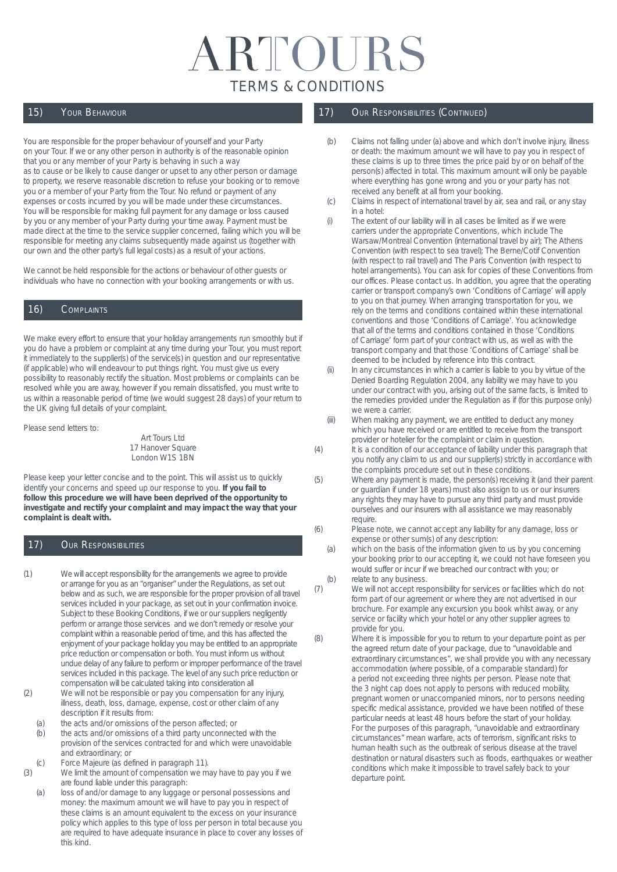# 15) YOUR BEhAVIOUR

You are responsible for the proper behaviour of yourself and your Party on your Tour. If we or any other person in authority is of the reasonable opinion that you or any member of your Party is behaving in such a way as to cause or be likely to cause danger or upset to any other person or damage to property, we reserve reasonable discretion to refuse your booking or to remove you or a member of your Party from the Tour. No refund or payment of any expenses or costs incurred by you will be made under these circumstances. You will be responsible for making full payment for any damage or loss caused by you or any member of your Party during your time away. Payment must be made direct at the time to the service supplier concerned, failing which you will be responsible for meeting any claims subsequently made against us (together with our own and the other party's full legal costs) as a result of your actions.

We cannot be held responsible for the actions or behaviour of other quests or individuals who have no connection with your booking arrangements or with us.

#### 16) COMPLAINTS

We make every effort to ensure that your holiday arrangements run smoothly but if you do have a problem or complaint at any time during your Tour, you must report it immediately to the supplier(s) of the service(s) in question and our representative (if applicable) who will endeavour to put things right. You must give us every possibility to reasonably rectify the situation. Most problems or complaints can be resolved while you are away, however if you remain dissatisfied, you must write to us within a reasonable period of time (we would suggest 28 days) of your return to the UK giving full details of your complaint.

Please send letters to:

#### Art Tours Ltd 17 Hanover Square London W1S 1BN

Please keep your letter concise and to the point. This will assist us to quickly identify your concerns and speed up our response to you. **If you fail to follow this procedure we will have been deprived of the opportunity to investigate and rectify your complaint and may impact the way that your complaint is dealt with.**

# 17) OUR RESPONSIBILITIES

- (1) We will accept responsibility for the arrangements we agree to provide or arrange for you as an "organiser" under the Regulations, as set out below and as such, we are responsible for the proper provision of all travel services included in your package, as set out in your confirmation invoice. Subject to these Booking Conditions, if we or our suppliers negligently perform or arrange those services and we don't remedy or resolve your complaint within a reasonable period of time, and this has affected the enjoyment of your package holiday you may be entitled to an appropriate price reduction or compensation or both. You must inform us without undue delay of any failure to perform or improper performance of the travel services included in this package. The level of any such price reduction or compensation will be calculated taking into consideration all
- (2) We will not be responsible or pay you compensation for any injury, illness, death, loss, damage, expense, cost or other claim of any description if it results from:
	- (a) the acts and/or omissions of the person affected; or
	- (b) the acts and/or omissions of a third party unconnected with the provision of the services contracted for and which were unavoidable and extraordinary; or
- (c) Force Majeure (as defined in paragraph 11).
- (3) We limit the amount of compensation we may have to pay you if we are found liable under this paragraph:
	- (a) loss of and/or damage to any luggage or personal possessions and money: the maximum amount we will have to pay you in respect of these claims is an amount equivalent to the excess on your insurance policy which applies to this type of loss per person in total because you are required to have adequate insurance in place to cover any losses of this kind.

# 17) OUR RESpONSIbILItIES (CONtINUED)

- (b) Claims not falling under (a) above and which don't involve injury, illness or death: the maximum amount we will have to pay you in respect of these claims is up to three times the price paid by or on behalf of the person(s) affected in total. This maximum amount will only be payable where everything has gone wrong and you or your party has not received any benefit at all from your booking.
- (c) Claims in respect of international travel by air, sea and rail, or any stay in a hotel:
- (i) The extent of our liability will in all cases be limited as if we were carriers under the appropriate Conventions, which include The Warsaw/Montreal Convention (international travel by air); The Athens Convention (with respect to sea travel); The Berne/Cotif Convention (with respect to rail travel) and The Paris Convention (with respect to hotel arrangements). You can ask for copies of these Conventions from our offices. Please contact us. In addition, you agree that the operating carrier or transport company's own 'Conditions of Carriage' will apply to you on that journey. When arranging transportation for you, we rely on the terms and conditions contained within these international conventions and those 'Conditions of Carriage'. You acknowledge that all of the terms and conditions contained in those 'Conditions of Carriage' form part of your contract with us, as well as with the transport company and that those 'Conditions of Carriage' shall be deemed to be included by reference into this contract.
- (ii) In any circumstances in which a carrier is liable to you by virtue of the Denied Boarding Regulation 2004, any liability we may have to you under our contract with you, arising out of the same facts, is limited to the remedies provided under the Regulation as if (for this purpose only) we were a carrier.
- (iii) When making any payment, we are entitled to deduct any money which you have received or are entitled to receive from the transport provider or hotelier for the complaint or claim in question.
- (4) It is a condition of our acceptance of liability under this paragraph that you notify any claim to us and our supplier(s) strictly in accordance with the complaints procedure set out in these conditions.
- (5) Where any payment is made, the person(s) receiving it (and their parent or guardian if under 18 years) must also assign to us or our insurers any rights they may have to pursue any third party and must provide ourselves and our insurers with all assistance we may reasonably require.
- (6) Please note, we cannot accept any liability for any damage, loss or expense or other sum(s) of any description:
	- (a) which on the basis of the information given to us by you concerning your booking prior to our accepting it, we could not have foreseen you would suffer or incur if we breached our contract with you; or
- (b) relate to any business. (7) We will not accept responsibility for services or facilities which do not form part of our agreement or where they are not advertised in our

brochure. For example any excursion you book whilst away, or any service or facility which your hotel or any other supplier agrees to provide for you.

(8) Where it is impossible for you to return to your departure point as per the agreed return date of your package, due to "unavoidable and extraordinary circumstances", we shall provide you with any necessary accommodation (where possible, of a comparable standard) for a period not exceeding three nights per person. Please note that the 3 night cap does not apply to persons with reduced mobility, pregnant women or unaccompanied minors, nor to persons needing specific medical assistance, provided we have been notified of these particular needs at least 48 hours before the start of your holiday. For the purposes of this paragraph, "unavoidable and extraordinary circumstances" mean warfare, acts of terrorism, significant risks to human health such as the outbreak of serious disease at the travel destination or natural disasters such as floods, earthquakes or weather conditions which make it impossible to travel safely back to your departure point.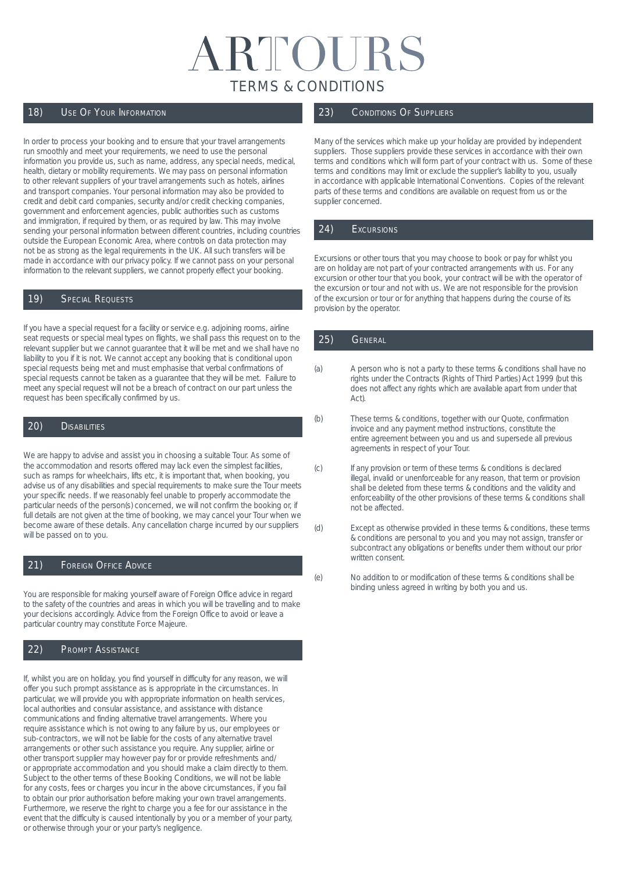# 18) USE OF YOUR INFORMAtION

In order to process your booking and to ensure that your travel arrangements run smoothly and meet your requirements, we need to use the personal information you provide us, such as name, address, any special needs, medical, health, dietary or mobility requirements. We may pass on personal information to other relevant suppliers of your travel arrangements such as hotels, airlines and transport companies. Your personal information may also be provided to credit and debit card companies, security and/or credit checking companies, government and enforcement agencies, public authorities such as customs and immigration, if required by them, or as required by law. This may involve sending your personal information between different countries, including countries outside the European Economic Area, where controls on data protection may not be as strong as the legal requirements in the UK. All such transfers will be made in accordance with our privacy policy. If we cannot pass on your personal information to the relevant suppliers, we cannot properly effect your booking.

#### 19) SPECIAL REQUESTS

If you have a special request for a facility or service e.g. adjoining rooms, airline seat requests or special meal types on flights, we shall pass this request on to the relevant supplier but we cannot guarantee that it will be met and we shall have no liability to you if it is not. We cannot accept any booking that is conditional upon special requests being met and must emphasise that verbal confirmations of special requests cannot be taken as a guarantee that they will be met. Failure to meet any special request will not be a breach of contract on our part unless the request has been specifically confirmed by us.

#### 20) DISABILITIES

We are happy to advise and assist you in choosing a suitable Tour. As some of the accommodation and resorts offered may lack even the simplest facilities, such as ramps for wheelchairs, lifts etc, it is important that, when booking, you advise us of any disabilities and special requirements to make sure the Tour meets your specific needs. If we reasonably feel unable to properly accommodate the particular needs of the person(s) concerned, we will not confirm the booking or, if full details are not given at the time of booking, we may cancel your Tour when we become aware of these details. Any cancellation charge incurred by our suppliers will be passed on to you.

### 21) FORFIGN OFFICE ADVICE

You are responsible for making yourself aware of Foreign Office advice in regard to the safety of the countries and areas in which you will be travelling and to make your decisions accordingly. Advice from the Foreign Office to avoid or leave a particular country may constitute Force Majeure.

#### 22) PROMPT ASSISTANCE

If, whilst you are on holiday, you find yourself in difficulty for any reason, we will offer you such prompt assistance as is appropriate in the circumstances. In particular, we will provide you with appropriate information on health services, local authorities and consular assistance, and assistance with distance communications and finding alternative travel arrangements. Where you require assistance which is not owing to any failure by us, our employees or sub-contractors, we will not be liable for the costs of any alternative travel arrangements or other such assistance you require. Any supplier, airline or other transport supplier may however pay for or provide refreshments and/ or appropriate accommodation and you should make a claim directly to them. Subject to the other terms of these Booking Conditions, we will not be liable for any costs, fees or charges you incur in the above circumstances, if you fail to obtain our prior authorisation before making your own travel arrangements. Furthermore, we reserve the right to charge you a fee for our assistance in the event that the difficulty is caused intentionally by you or a member of your party, or otherwise through your or your party's negligence.

### 23) CONDITIONS OF SUPPLIERS

Many of the services which make up your holiday are provided by independent suppliers. Those suppliers provide these services in accordance with their own terms and conditions which will form part of your contract with us. Some of these terms and conditions may limit or exclude the supplier's liability to you, usually in accordance with applicable International Conventions. Copies of the relevant parts of these terms and conditions are available on request from us or the supplier concerned.

#### 24) EXCURSIONS

Excursions or other tours that you may choose to book or pay for whilst you are on holiday are not part of your contracted arrangements with us. For any excursion or other tour that you book, your contract will be with the operator of the excursion or tour and not with us. We are not responsible for the provision of the excursion or tour or for anything that happens during the course of its provision by the operator.

#### 25) GENERAL

- (a) A person who is not a party to these terms & conditions shall have no rights under the Contracts (Rights of Third Parties) Act 1999 (but this does not affect any rights which are available apart from under that Act).
- (b) These terms & conditions, together with our Quote, confirmation invoice and any payment method instructions, constitute the entire agreement between you and us and supersede all previous agreements in respect of your Tour.
- (c) If any provision or term of these terms & conditions is declared illegal, invalid or unenforceable for any reason, that term or provision shall be deleted from these terms & conditions and the validity and enforceability of the other provisions of these terms & conditions shall not be affected.
- (d) Except as otherwise provided in these terms & conditions, these terms & conditions are personal to you and you may not assign, transfer or subcontract any obligations or benefits under them without our prior written consent.
- (e) No addition to or modification of these terms & conditions shall be binding unless agreed in writing by both you and us.